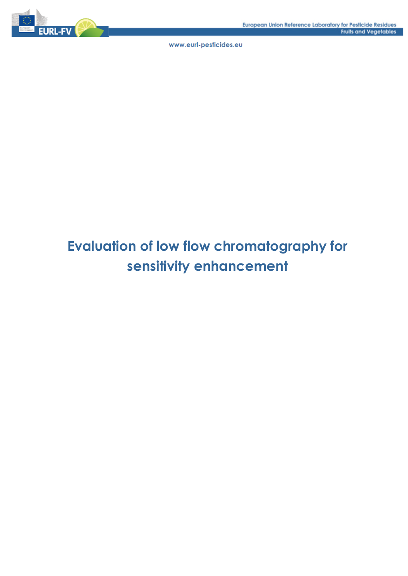

# **Evaluation of low flow chromatography for sensitivity enhancement**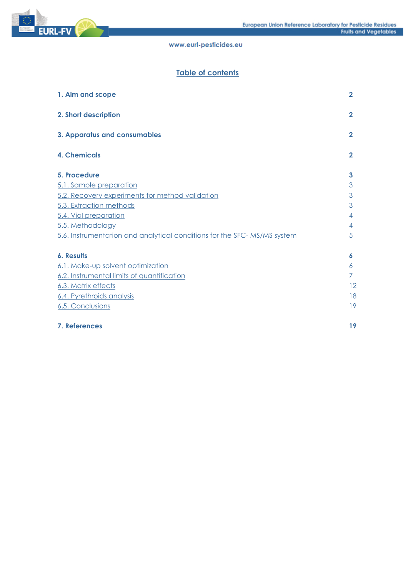

# Table of contents

| 1. Aim and scope                                                        | $\overline{2}$ |
|-------------------------------------------------------------------------|----------------|
| 2. Short description                                                    | $\mathbf{2}$   |
| 3. Apparatus and consumables                                            | $\mathbf{2}$   |
| <b>4. Chemicals</b>                                                     | $\mathbf{2}$   |
| 5. Procedure                                                            | 3              |
| 5.1. Sample preparation                                                 | 3              |
| 5.2. Recovery experiments for method validation                         | 3              |
| 5.3. Extraction methods                                                 | 3              |
| 5.4. Vial preparation                                                   | 4              |
| 5.5. Methodology                                                        | 4              |
| 5.6. Instrumentation and analytical conditions for the SFC-MS/MS system | 5              |
| <b>6. Results</b>                                                       | 6              |
| 6.1. Make-up solvent optimization                                       | 6              |
| 6.2. Instrumental limits of quantification                              | 7              |
| 6.3. Matrix effects                                                     | 12             |
| 6.4. Pyrethroids analysis                                               | 18             |
| 6.5. Conclusions                                                        | 19             |
| 7. References                                                           | 19             |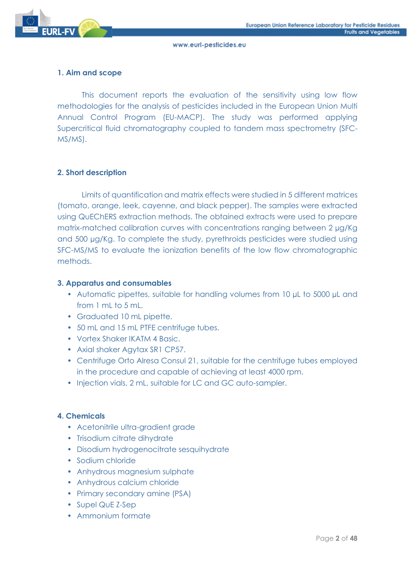

## **1. Aim and scope**

This document reports the evaluation of the sensitivity using low flow methodologies for the analysis of pesticides included in the European Union Multi Annual Control Program (EU-MACP). The study was performed applying Supercritical fluid chromatography coupled to tandem mass spectrometry (SFC-MS/MS).

## **2. Short description**

Limits of quantification and matrix effects were studied in 5 different matrices (tomato, orange, leek, cayenne, and black pepper). The samples were extracted using QuEChERS extraction methods. The obtained extracts were used to prepare matrix-matched calibration curves with concentrations ranging between 2 µg/Kg and 500 µg/Kg. To complete the study, pyrethroids pesticides were studied using SFC-MS/MS to evaluate the ionization benefits of the low flow chromatographic methods.

#### **3. Apparatus and consumables**

- Automatic pipettes, suitable for handling volumes from 10 µL to 5000 µL and from  $1 \text{ ml}$  to  $5 \text{ ml}$ .
- Graduated 10 mL pipette.
- 50 mL and 15 mL PTFE centrifuge tubes.
- Vortex Shaker IKATM 4 Basic.
- Axial shaker Agytax SR1 CP57.
- Centrifuge Orto Alresa Consul 21, suitable for the centrifuge tubes employed in the procedure and capable of achieving at least 4000 rpm.
- Injection vials, 2 mL, suitable for LC and GC auto-sampler.

## **4. Chemicals**

- Acetonitrile ultra-gradient grade
- Trisodium citrate dihydrate
- Disodium hydrogenocitrate sesquihydrate
- Sodium chloride
- Anhydrous magnesium sulphate
- Anhydrous calcium chloride
- Primary secondary amine (PSA)
- Supel QuE Z-Sep
- Ammonium formate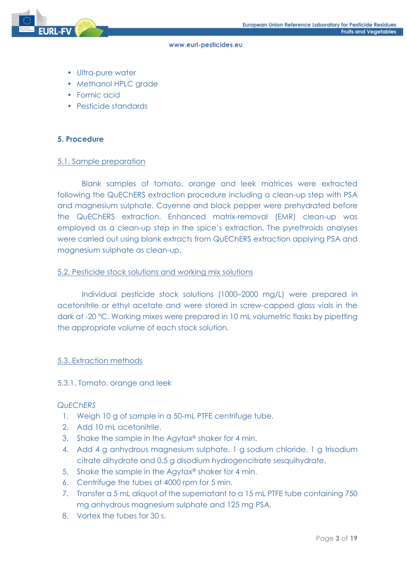- Ultra-pure water
- Methanol HPLC grade
- Formic acid
- Pesticide standards

#### **5. Procedure**

#### 5.1. Sample preparation

Blank samples of tomato, orange and leek matrices were extracted following the QuEChERS extraction procedure including a clean-up step with PSA and magnesium sulphate. Cayenne and black pepper were prehydrated before the QuEChERS extraction. Enhanced matrix-removal (EMR) clean-up was employed as a clean-up step in the spice's extraction. The pyrethroids analyses were carried out using blank extracts from QuEChERS extraction applying PSA and magnesium sulphate as clean-up.

#### 5.2. Pesticide stock solutions and working mix solutions

Individual pesticide stock solutions (1000–2000 mg/L) were prepared in acetonitrile or ethyl acetate and were stored in screw-capped glass vials in the dark at -20 °C. Working mixes were prepared in 10 mL volumetric flasks by pipetting the appropriate volume of each stock solution.

#### 5.3. Extraction methods

#### 5.3.1. Tomato, orange and leek

#### *QuEChERS*

- 1. Weigh 10 g of sample in a 50-mL PTFE centrifuge tube.
- 2. Add 10 mL acetonitrile.
- 3. Shake the sample in the Agytax® shaker for 4 min.
- 4. Add 4 g anhydrous magnesium sulphate, 1 g sodium chloride, 1 g trisodium citrate dihydrate and 0.5 g disodium hydrogencitrate sesquihydrate.
- 5. Shake the sample in the Agytax® shaker for 4 min.
- 6. Centrifuge the tubes at 4000 rpm for 5 min.
- 7. Transfer a 5 mL aliquot of the supernatant to a 15 mL PTFE tube containing 750 mg anhydrous magnesium sulphate and 125 mg PSA.
- 8. Vortex the tubes for 30 s.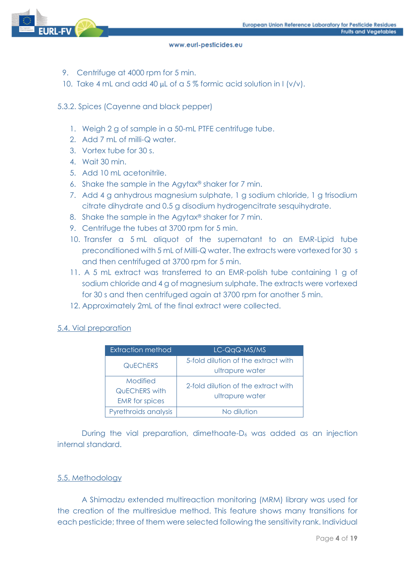

- 9. Centrifuge at 4000 rpm for 5 min.
- 10. Take 4 mL and add 40  $\mu$ L of a 5% formic acid solution in I (v/v).

## 5.3.2. Spices (Cayenne and black pepper)

- 1. Weigh 2 g of sample in a 50-mL PTFE centrifuge tube.
- 2. Add 7 mL of milli-Q water.
- 3. Vortex tube for 30 s.
- 4. Wait 30 min.
- 5. Add 10 mL acetonitrile.
- 6. Shake the sample in the Agytax® shaker for 7 min.
- 7. Add 4 g anhydrous magnesium sulphate, 1 g sodium chloride, 1 g trisodium citrate dihydrate and 0.5 g disodium hydrogencitrate sesquihydrate.
- 8. Shake the sample in the Agytax® shaker for 7 min.
- 9. Centrifuge the tubes at 3700 rpm for 5 min.
- 10. Transfer a 5 mL aliquot of the supernatant to an EMR-Lipid tube preconditioned with 5 mL of Milli-Q water. The extracts were vortexed for 30 s and then centrifuged at 3700 rpm for 5 min.
- 11. A 5 mL extract was transferred to an EMR-polish tube containing 1 g of sodium chloride and 4 g of magnesium sulphate. The extracts were vortexed for 30 s and then centrifuged again at 3700 rpm for another 5 min.
- 12. Approximately 2mL of the final extract were collected.

## 5.4. Vial preparation

| <b>Extraction method</b>                                  | LC-QqQ-MS/MS                                           |
|-----------------------------------------------------------|--------------------------------------------------------|
| <b>QUECHERS</b>                                           | 5-fold dilution of the extract with<br>ultrapure water |
| Modified<br><b>QUECHERS</b> with<br><b>EMR</b> for spices | 2-fold dilution of the extract with<br>ultrapure water |
| Pyrethroids analysis                                      | No dilution                                            |

During the vial preparation, dimethoate-D<sub>6</sub> was added as an injection internal standard.

## 5.5. Methodology

A Shimadzu extended multireaction monitoring (MRM) library was used for the creation of the multiresidue method. This feature shows many transitions for each pesticide; three of them were selected following the sensitivity rank. Individual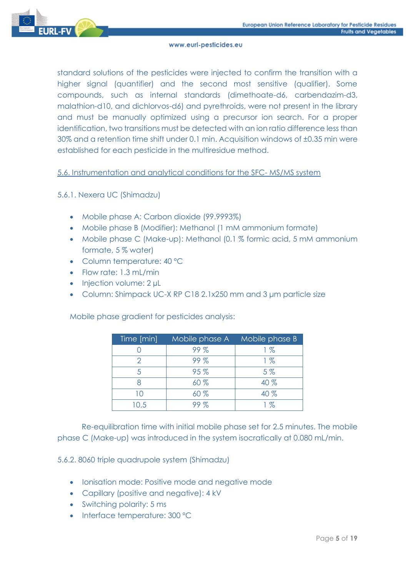

standard solutions of the pesticides were injected to confirm the transition with a higher signal (quantifier) and the second most sensitive (qualifier). Some compounds, such as internal standards (dimethoate-d6, carbendazim-d3, malathion-d10, and dichlorvos-d6) and pyrethroids, were not present in the library and must be manually optimized using a precursor ion search. For a proper identification, two transitions must be detected with an ion ratio difference less than 30% and a retention time shift under 0.1 min. Acquisition windows of ±0.35 min were established for each pesticide in the multiresidue method.

## 5.6. Instrumentation and analytical conditions for the SFC- MS/MS system

## 5.6.1. Nexera UC (Shimadzu)

- Mobile phase A: Carbon dioxide (99.9993%)
- Mobile phase B (Modifier): Methanol (1 mM ammonium formate)
- Mobile phase C (Make-up): Methanol (0.1 % formic acid, 5 mM ammonium formate, 5 % water)
- Column temperature: 40 °C
- Flow rate: 1.3 mL/min
- Injection volume: 2 µL
- Column: Shimpack UC-X RP C18 2.1x250 mm and 3 μm particle size

Mobile phase gradient for pesticides analysis:

| Time [min] | Mobile phase A | Mobile phase B |
|------------|----------------|----------------|
|            | 99%            | 1%             |
|            | 99%            | 1%             |
| 5          | 95%            | $5\%$          |
|            | 60%            | 40 %           |
| 10         | 60%            | 40 %           |
| 10.5       |                | 1 %            |

Re-equilibration time with initial mobile phase set for 2.5 minutes. The mobile phase C (Make-up) was introduced in the system isocratically at 0.080 mL/min.

5.6.2. 8060 triple quadrupole system (Shimadzu)

- Ionisation mode: Positive mode and negative mode
- Capillary (positive and negative): 4 kV
- Switching polarity: 5 ms
- Interface temperature: 300 °C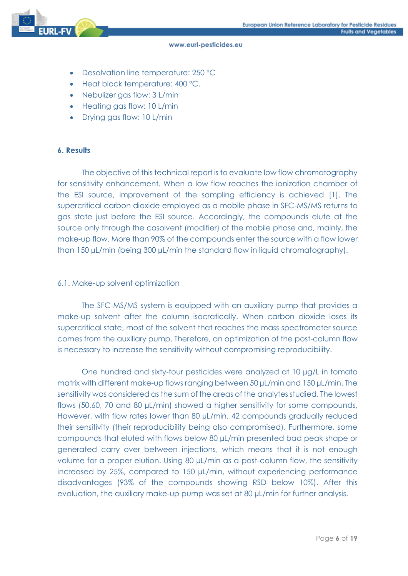- Desolvation line temperature: 250 ºC
- Heat block temperature: 400 ºC.
- Nebulizer gas flow: 3 L/min
- Heating gas flow: 10 L/min
- Drying gas flow: 10 L/min

#### **6. Results**

The objective of this technical report is to evaluate low flow chromatography for sensitivity enhancement. When a low flow reaches the ionization chamber of the ESI source, improvement of the sampling efficiency is achieved [1]. The supercritical carbon dioxide employed as a mobile phase in SFC-MS/MS returns to gas state just before the ESI source. Accordingly, the compounds elute at the source only through the cosolvent (modifier) of the mobile phase and, mainly, the make-up flow. More than 90% of the compounds enter the source with a flow lower than 150 µL/min (being 300 µL/min the standard flow in liquid chromatography).

#### 6.1. Make-up solvent optimization

The SFC-MS/MS system is equipped with an auxiliary pump that provides a make-up solvent after the column isocratically. When carbon dioxide loses its supercritical state, most of the solvent that reaches the mass spectrometer source comes from the auxiliary pump. Therefore, an optimization of the post-column flow is necessary to increase the sensitivity without compromising reproducibility.

One hundred and sixty-four pesticides were analyzed at 10 µg/L in tomato matrix with different make-up flows ranging between 50 µL/min and 150 µL/min. The sensitivity was considered as the sum of the areas of the analytes studied. The lowest flows (50,60, 70 and 80 µL/min) showed a higher sensitivity for some compounds, However, with flow rates lower than 80 µL/min, 42 compounds gradually reduced their sensitivity (their reproducibility being also compromised). Furthermore, some compounds that eluted with flows below 80 µL/min presented bad peak shape or generated carry over between injections, which means that it is not enough volume for a proper elution. Using 80 µL/min as a post-column flow, the sensitivity increased by 25%, compared to 150 µL/min, without experiencing performance disadvantages (93% of the compounds showing RSD below 10%). After this evaluation, the auxiliary make-up pump was set at 80 µL/min for further analysis.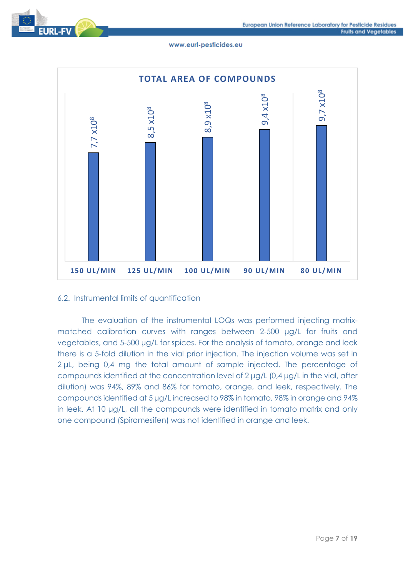



#### 6.2. Instrumental limits of quantification

The evaluation of the instrumental LOQs was performed injecting matrixmatched calibration curves with ranges between 2-500 μg/L for fruits and vegetables, and 5-500 μg/L for spices. For the analysis of tomato, orange and leek there is a 5-fold dilution in the vial prior injection. The injection volume was set in 2 μL, being 0,4 mg the total amount of sample injected. The percentage of compounds identified at the concentration level of 2 μg/L (0,4 μg/L in the vial, after dilution) was 94%, 89% and 86% for tomato, orange, and leek, respectively. The compounds identified at 5 μg/L increased to 98% in tomato, 98% in orange and 94% in leek. At 10 μg/L, all the compounds were identified in tomato matrix and only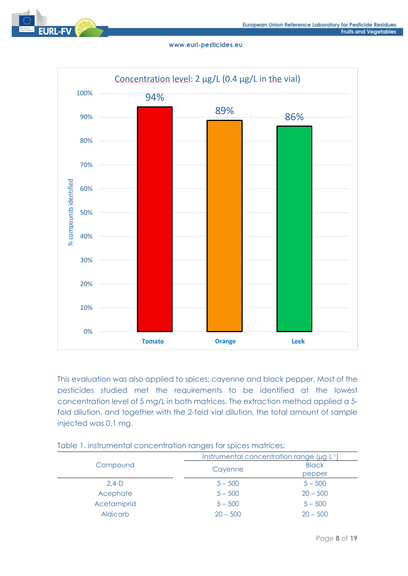



This evaluation was also applied to spices: cayenne and black pepper. Most of the pesticides studied met the requirements to be identified at the lowest concentration level of 5 mg/L in both matrices. The extraction method applied a 5 fold dilution, and together with the 2-fold vial dilution, the total amount of sample injected was 0.1 mg.

|                 | Instrumental concentration range (µg L-1) |              |
|-----------------|-------------------------------------------|--------------|
| Compound        | Cayenne                                   | <b>Black</b> |
|                 |                                           | pepper       |
| $2.4-D$         | $5 - 500$                                 | $5 - 500$    |
| Acephate        | $5 - 500$                                 | $20 - 500$   |
| Acetamiprid     | $5 - 500$                                 | $5 - 500$    |
| <b>Aldicarb</b> | $20 - 500$                                | $20 - 500$   |

## Table 1. instrumental concentration ranges for spices matrices: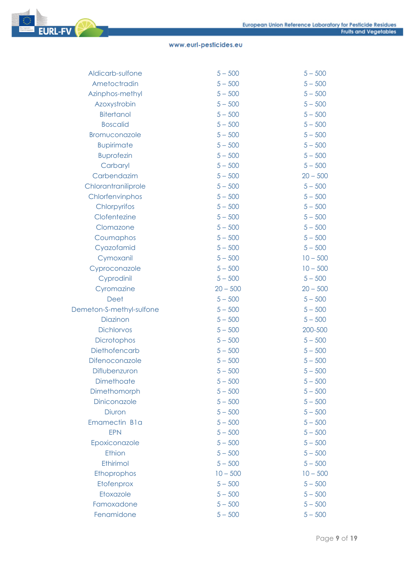| Aldicarb-sulfone         | $5 - 500$  | $5 - 500$  |
|--------------------------|------------|------------|
| Ametoctradin             | $5 - 500$  | $5 - 500$  |
| Azinphos-methyl          | $5 - 500$  | $5 - 500$  |
| Azoxystrobin             | $5 - 500$  | $5 - 500$  |
| <b>Bitertanol</b>        | $5 - 500$  | $5 - 500$  |
| <b>Boscalid</b>          | $5 - 500$  | $5 - 500$  |
| Bromuconazole            | $5 - 500$  | $5 - 500$  |
| <b>Bupirimate</b>        | $5 - 500$  | $5 - 500$  |
| <b>Buprofezin</b>        | $5 - 500$  | $5 - 500$  |
| Carbaryl                 | $5 - 500$  | $5 - 500$  |
| Carbendazim              | $5 - 500$  | $20 - 500$ |
| Chlorantraniliprole      | $5 - 500$  | $5 - 500$  |
| Chlorfenvinphos          | $5 - 500$  | $5 - 500$  |
| Chlorpyrifos             | $5 - 500$  | $5 - 500$  |
| Clofentezine             | $5 - 500$  | $5 - 500$  |
| Clomazone                | $5 - 500$  | $5 - 500$  |
| Coumaphos                | $5 - 500$  | $5 - 500$  |
| Cyazofamid               | $5 - 500$  | $5 - 500$  |
| Cymoxanil                | $5 - 500$  | $10 - 500$ |
| Cyproconazole            | $5 - 500$  | $10 - 500$ |
| Cyprodinil               | $5 - 500$  | $5 - 500$  |
| Cyromazine               | $20 - 500$ | $20 - 500$ |
| Deet                     | $5 - 500$  | $5 - 500$  |
| Demeton-S-methyl-sulfone | $5 - 500$  | $5 - 500$  |
| Diazinon                 | $5 - 500$  | $5 - 500$  |
| <b>Dichlorvos</b>        | $5 - 500$  | 200-500    |
| Dicrotophos              | $5 - 500$  | $5 - 500$  |
| Diethofencarb            | $5 - 500$  | $5 - 500$  |
| Difenoconazole           | $5 - 500$  | $5 - 500$  |
| Diflubenzuron            | $5 - 500$  | $5 - 500$  |
| Dimethoate               | $5 - 500$  | $5 - 500$  |
| Dimethomorph             | $5 - 500$  | $5 - 500$  |
| Diniconazole             | $5 - 500$  | $5 - 500$  |
| <b>Diuron</b>            | $5 - 500$  | $5 - 500$  |
| Emamectin Bla            | $5 - 500$  | $5 - 500$  |
| <b>EPN</b>               | $5 - 500$  | $5 - 500$  |
| Epoxiconazole            | $5 - 500$  | $5 - 500$  |
| Ethion                   | $5 - 500$  | $5 - 500$  |
| Ethirimol                | $5 - 500$  | $5 - 500$  |
| Ethoprophos              | $10 - 500$ | $10 - 500$ |
| Etofenprox               | $5 - 500$  | $5 - 500$  |
| Etoxazole                | $5 - 500$  | $5 - 500$  |
| Famoxadone               | $5 - 500$  | $5 - 500$  |
| Fenamidone               | $5 - 500$  | $5 - 500$  |
|                          |            |            |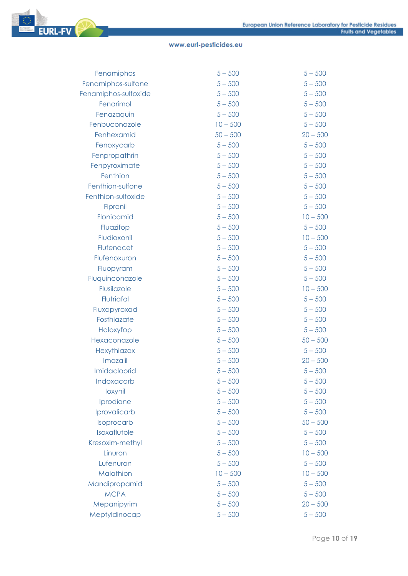| Fenamiphos           | $5 - 500$  | $5 - 500$  |
|----------------------|------------|------------|
| Fenamiphos-sulfone   | $5 - 500$  | $5 - 500$  |
| Fenamiphos-sulfoxide | $5 - 500$  | $5 - 500$  |
| Fenarimol            | $5 - 500$  | $5 - 500$  |
| Fenazaquin           | $5 - 500$  | $5 - 500$  |
| Fenbuconazole        | $10 - 500$ | $5 - 500$  |
| Fenhexamid           | $50 - 500$ | $20 - 500$ |
| Fenoxycarb           | $5 - 500$  | $5 - 500$  |
| Fenpropathrin        | $5 - 500$  | $5 - 500$  |
| Fenpyroximate        | $5 - 500$  | $5 - 500$  |
| Fenthion             | $5 - 500$  | $5 - 500$  |
| Fenthion-sulfone     | $5 - 500$  | $5 - 500$  |
| Fenthion-sulfoxide   | $5 - 500$  | $5 - 500$  |
| Fipronil             | $5 - 500$  | $5 - 500$  |
| Flonicamid           | $5 - 500$  | $10 - 500$ |
| Fluazifop            | $5 - 500$  | $5 - 500$  |
| Fludioxonil          | $5 - 500$  | $10 - 500$ |
| Flufenacet           | $5 - 500$  | $5 - 500$  |
| Flufenoxuron         | $5 - 500$  | $5 - 500$  |
| Fluopyram            | $5 - 500$  | $5 - 500$  |
| Fluquinconazole      | $5 - 500$  | $5 - 500$  |
| Flusilazole          | $5 - 500$  | $10 - 500$ |
| Flutriafol           | $5 - 500$  | $5 - 500$  |
| Fluxapyroxad         | $5 - 500$  | $5 - 500$  |
| Fosthiazate          | $5 - 500$  | $5 - 500$  |
| Haloxyfop            | $5 - 500$  | $5 - 500$  |
| Hexaconazole         | $5 - 500$  | $50 - 500$ |
| Hexythiazox          | $5 - 500$  | $5 - 500$  |
| Imazalil             | $5 - 500$  | $20 - 500$ |
| Imidacloprid         | $5 - 500$  | $5 - 500$  |
| Indoxacarb           | $5 - 500$  | $5 - 500$  |
| loxynil              | $5 - 500$  | $5 - 500$  |
| Iprodione            | $5 - 500$  | $5 - 500$  |
| Iprovalicarb         | $5 - 500$  | $5 - 500$  |
| Isoprocarb           | $5 - 500$  | $50 - 500$ |
| Isoxaflutole         | $5 - 500$  | $5 - 500$  |
| Kresoxim-methyl      | $5 - 500$  | $5 - 500$  |
| Linuron              | $5 - 500$  | $10 - 500$ |
| Lufenuron            | $5 - 500$  | $5 - 500$  |
| Malathion            | $10 - 500$ | $10 - 500$ |
| Mandipropamid        | $5 - 500$  | $5 - 500$  |
| <b>MCPA</b>          | $5 - 500$  | $5 - 500$  |
| Mepanipyrim          | $5 - 500$  | $20 - 500$ |
| Meptyldinocap        | $5 - 500$  | $5 - 500$  |
|                      |            |            |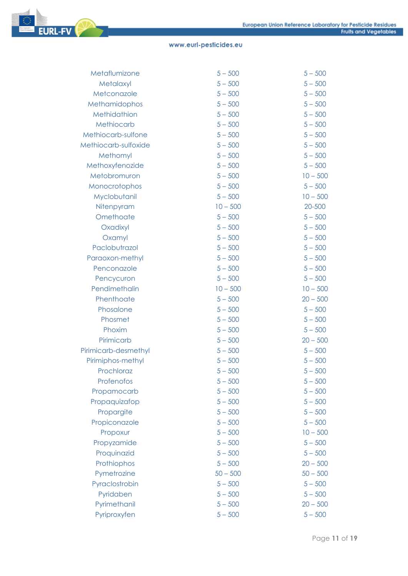| Metaflumizone        | $5 - 500$  | $5 - 500$  |
|----------------------|------------|------------|
| Metalaxyl            | $5 - 500$  | $5 - 500$  |
| Metconazole          | $5 - 500$  | $5 - 500$  |
| Methamidophos        | $5 - 500$  | $5 - 500$  |
| Methidathion         | $5 - 500$  | $5 - 500$  |
| Methiocarb           | $5 - 500$  | $5 - 500$  |
| Methiocarb-sulfone   | $5 - 500$  | $5 - 500$  |
| Methiocarb-sulfoxide | $5 - 500$  | $5 - 500$  |
| Methomyl             | $5 - 500$  | $5 - 500$  |
| Methoxyfenozide      | $5 - 500$  | $5 - 500$  |
| Metobromuron         | $5 - 500$  | $10 - 500$ |
| Monocrotophos        | $5 - 500$  | $5 - 500$  |
| Myclobutanil         | $5 - 500$  | $10 - 500$ |
| Nitenpyram           | $10 - 500$ | 20-500     |
| Omethoate            | $5 - 500$  | $5 - 500$  |
| Oxadixyl             | $5 - 500$  | $5 - 500$  |
| Oxamyl               | $5 - 500$  | $5 - 500$  |
| Paclobutrazol        | $5 - 500$  | $5 - 500$  |
| Paraoxon-methyl      | $5 - 500$  | $5 - 500$  |
| Penconazole          | $5 - 500$  | $5 - 500$  |
| Pencycuron           | $5 - 500$  | $5 - 500$  |
| Pendimethalin        | $10 - 500$ | $10 - 500$ |
| Phenthoate           | $5 - 500$  | $20 - 500$ |
| Phosalone            | $5 - 500$  | $5 - 500$  |
| Phosmet              | $5 - 500$  | $5 - 500$  |
| Phoxim               | $5 - 500$  | $5 - 500$  |
| Pirimicarb           | $5 - 500$  | $20 - 500$ |
| Pirimicarb-desmethyl | $5 - 500$  | $5 - 500$  |
| Pirimiphos-methyl    | $5 - 500$  | $5 - 500$  |
| Prochloraz           | $5 - 500$  | $5 - 500$  |
| Profenofos           | $5 - 500$  | $5 - 500$  |
| Propamocarb          | $5 - 500$  | $5 - 500$  |
| Propaquizafop        | $5 - 500$  | $5 - 500$  |
| Propargite           | $5 - 500$  | $5 - 500$  |
| Propiconazole        | $5 - 500$  | $5 - 500$  |
| Propoxur             | $5 - 500$  | $10 - 500$ |
| Propyzamide          | $5 - 500$  | $5 - 500$  |
| Proquinazid          | $5 - 500$  | $5 - 500$  |
| Prothiophos          | $5 - 500$  | $20 - 500$ |
| Pymetrozine          | $50 - 500$ | $50 - 500$ |
| Pyraclostrobin       | $5 - 500$  | $5 - 500$  |
| Pyridaben            | $5 - 500$  | $5 - 500$  |
| Pyrimethanil         | $5 - 500$  | $20 - 500$ |
| Pyriproxyfen         | $5 - 500$  | $5 - 500$  |
|                      |            |            |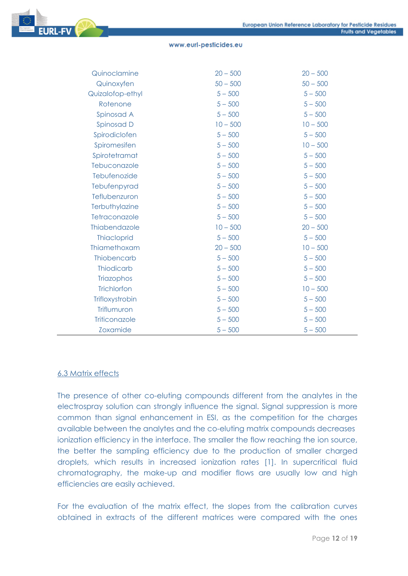

| Quinoclamine         | $20 - 500$ | $20 - 500$ |
|----------------------|------------|------------|
| Quinoxyfen           | $50 - 500$ | $50 - 500$ |
| Quizalofop-ethyl     | $5 - 500$  | $5 - 500$  |
| Rotenone             | $5 - 500$  | $5 - 500$  |
| Spinosad A           | $5 - 500$  | $5 - 500$  |
| Spinosad D           | $10 - 500$ | $10 - 500$ |
| Spirodiclofen        | $5 - 500$  | $5 - 500$  |
| Spiromesifen         | $5 - 500$  | $10 - 500$ |
| Spirotetramat        | $5 - 500$  | $5 - 500$  |
| Tebuconazole         | $5 - 500$  | $5 - 500$  |
| Tebufenozide         | $5 - 500$  | $5 - 500$  |
| Tebufenpyrad         | $5 - 500$  | $5 - 500$  |
| Teflubenzuron        | $5 - 500$  | $5 - 500$  |
| Terbuthylazine       | $5 - 500$  | $5 - 500$  |
| Tetraconazole        | $5 - 500$  | $5 - 500$  |
| Thiabendazole        | $10 - 500$ | $20 - 500$ |
| <b>Thiacloprid</b>   | $5 - 500$  | $5 - 500$  |
| Thiamethoxam         | $20 - 500$ | $10 - 500$ |
| Thiobencarb          | $5 - 500$  | $5 - 500$  |
| <b>Thiodicarb</b>    | $5 - 500$  | $5 - 500$  |
| Triazophos           | $5 - 500$  | $5 - 500$  |
| Trichlorfon          | $5 - 500$  | $10 - 500$ |
| Trifloxystrobin      | $5 - 500$  | $5 - 500$  |
| Triflumuron          | $5 - 500$  | $5 - 500$  |
| <b>Triticonazole</b> | $5 - 500$  | $5 - 500$  |
| <b>Zoxamide</b>      | $5 - 500$  | $5 - 500$  |

#### 6.3 Matrix effects

The presence of other co-eluting compounds different from the analytes in the electrospray solution can strongly influence the signal. Signal suppression is more common than signal enhancement in ESI, as the competition for the charges available between the analytes and the co-eluting matrix compounds decreases ionization efficiency in the interface. The smaller the flow reaching the ion source, the better the sampling efficiency due to the production of smaller charged droplets, which results in increased ionization rates [1]. In supercritical fluid chromatography, the make-up and modifier flows are usually low and high efficiencies are easily achieved.

For the evaluation of the matrix effect, the slopes from the calibration curves obtained in extracts of the different matrices were compared with the ones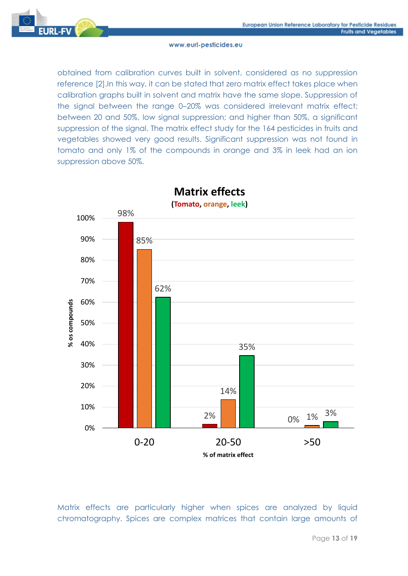

obtained from calibration curves built in solvent, considered as no suppression reference [2].In this way, it can be stated that zero matrix effect takes place when calibration graphs built in solvent and matrix have the same slope. Suppression of the signal between the range 0–20% was considered irrelevant matrix effect; between 20 and 50%, low signal suppression; and higher than 50%, a significant suppression of the signal. The matrix effect study for the 164 pesticides in fruits and vegetables showed very good results. Significant suppression was not found in tomato and only 1% of the compounds in orange and 3% in leek had an ion suppression above 50%.



**Matrix effects**

Matrix effects are particularly higher when spices are analyzed by liquid chromatography. Spices are complex matrices that contain large amounts of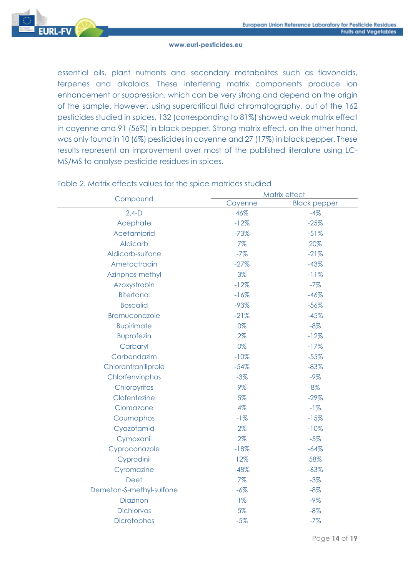

essential oils, plant nutrients and secondary metabolites such as flavonoids, terpenes and alkaloids. These interfering matrix components produce ion enhancement or suppression, which can be very strong and depend on the origin of the sample. However, using supercritical fluid chromatography, out of the 162 pesticides studied in spices, 132 (corresponding to 81%) showed weak matrix effect in cayenne and 91 (56%) in black pepper. Strong matrix effect, on the other hand, was only found in 10 (6%) pesticides in cayenne and 27 (17%) in black pepper. These results represent an improvement over most of the published literature using LC-MS/MS to analyse pesticide residues in spices.

| Matrix effect<br>Compound |         |                     |
|---------------------------|---------|---------------------|
|                           | Cayenne | <b>Black pepper</b> |
| $2,4-D$                   | 46%     | $-4%$               |
| Acephate                  | $-12%$  | $-25%$              |
| Acetamiprid               | $-73%$  | $-51%$              |
| <b>Aldicarb</b>           | 7%      | 20%                 |
| Aldicarb-sulfone          | $-7%$   | $-21%$              |
| Ametoctradin              | $-27%$  | $-43%$              |
| Azinphos-methyl           | 3%      | $-11%$              |
| Azoxystrobin              | $-12%$  | $-7%$               |
| <b>Bitertanol</b>         | $-16%$  | $-46%$              |
| <b>Boscalid</b>           | $-93%$  | $-56%$              |
| Bromuconazole             | $-21%$  | $-45%$              |
| <b>Bupirimate</b>         | 0%      | $-8%$               |
| <b>Buprofezin</b>         | 2%      | $-12%$              |
| Carbaryl                  | 0%      | $-17%$              |
| Carbendazim               | $-10%$  | $-55%$              |
| Chlorantraniliprole       | $-54%$  | $-83%$              |
| Chlorfenvinphos           | $-3%$   | $-9%$               |
| Chlorpyrifos              | 9%      | 8%                  |
| Clofentezine              | 5%      | $-29%$              |
| Clomazone                 | 4%      | $-1%$               |
| Coumaphos                 | $-1%$   | $-15%$              |
| Cyazofamid                | 2%      | $-10%$              |
| Cymoxanil                 | 2%      | $-5%$               |
| Cyproconazole             | $-18%$  | $-64%$              |
| Cyprodinil                | 12%     | 58%                 |
| Cyromazine                | $-48%$  | $-63%$              |
| Deet                      | 7%      | $-3%$               |
| Demeton-S-methyl-sulfone  | $-6%$   | $-8%$               |
| Diazinon                  | $1\%$   | $-9%$               |
| <b>Dichlorvos</b>         | 5%      | $-8%$               |
| <b>Dicrotophos</b>        | $-5%$   | $-7%$               |
|                           |         |                     |

#### Table 2. Matrix effects values for the spice matrices studied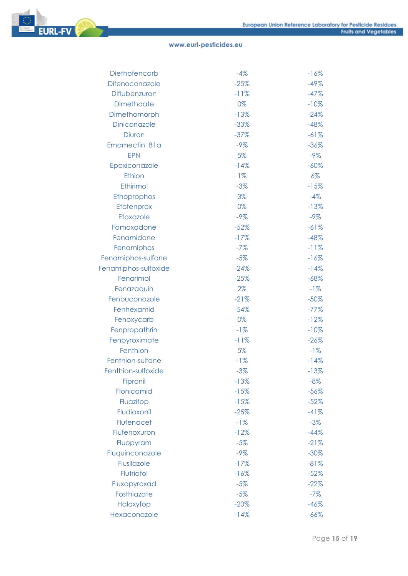

| Diethofencarb        | $-4%$  | $-16%$  |
|----------------------|--------|---------|
| Difenoconazole       | $-25%$ | $-49%$  |
| Diflubenzuron        | $-11%$ | $-47%$  |
| Dimethoate           | 0%     | $-10%$  |
| Dimethomorph         | $-13%$ | $-24%$  |
| Diniconazole         | $-33%$ | $-48%$  |
| Diuron               | $-37%$ | $-61%$  |
| Emamectin Bla        | $-9%$  | $-36%$  |
| <b>EPN</b>           | 5%     | $-9\%$  |
| Epoxiconazole        | $-14%$ | $-60\%$ |
| Ethion               | $1\%$  | $6\%$   |
| Ethirimol            | $-3%$  | $-15%$  |
| Ethoprophos          | 3%     | $-4%$   |
| Etofenprox           | 0%     | $-13%$  |
| Etoxazole            | $-9%$  | $-9\%$  |
| Famoxadone           | $-52%$ | $-61%$  |
| Fenamidone           | $-17%$ | $-48%$  |
| Fenamiphos           | $-7%$  | $-11%$  |
| Fenamiphos-sulfone   | $-5%$  | $-16%$  |
| Fenamiphos-sulfoxide | $-24%$ | $-14%$  |
| Fenarimol            | $-25%$ | $-68%$  |
| Fenazaquin           | $2\%$  | $-1%$   |
| Fenbuconazole        | $-21%$ | $-50%$  |
| Fenhexamid           | $-54%$ | $-77%$  |
| Fenoxycarb           | 0%     | $-12%$  |
| Fenpropathrin        | $-1%$  | $-10%$  |
| Fenpyroximate        | $-11%$ | $-26%$  |
| Fenthion             | 5%     | $-1%$   |
| Fenthion-sulfone     | $-1%$  | $-14%$  |
| Fenthion-sulfoxide   | $-3%$  | $-13%$  |
| Fipronil             | $-13%$ | $-8%$   |
| Flonicamid           | $-15%$ | $-56%$  |
| Fluazifop            | $-15%$ | $-52%$  |
| Fludioxonil          | $-25%$ | $-41%$  |
| Flufenacet           | $-1%$  | $-3%$   |
| Flufenoxuron         | $-12%$ | $-44%$  |
| Fluopyram            | $-5%$  | $-21%$  |
| Fluquinconazole      | $-9%$  | $-30\%$ |
| Flusilazole          | $-17%$ | $-81%$  |
| Flutriafol           | $-16%$ | $-52%$  |
| Fluxapyroxad         | $-5%$  | $-22%$  |
| Fosthiazate          | $-5%$  | $-7%$   |
| Haloxyfop            | $-20%$ | $-46%$  |
| Hexaconazole         | $-14%$ | $-66%$  |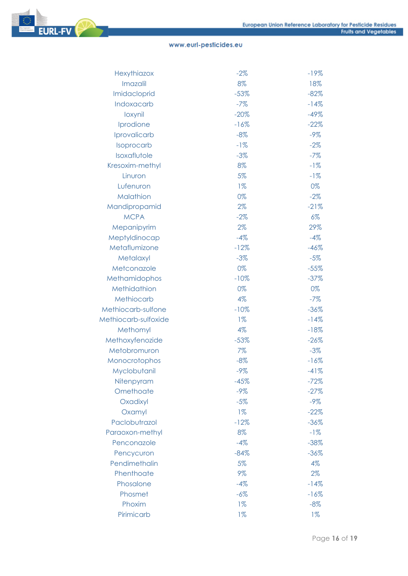

| Hexythiazox          | $-2%$  | $-19%$ |
|----------------------|--------|--------|
| Imazalil             | 8%     | 18%    |
| Imidacloprid         | $-53%$ | $-82%$ |
| Indoxacarb           | $-7%$  | $-14%$ |
| loxynil              | $-20%$ | $-49%$ |
| Iprodione            | $-16%$ | $-22%$ |
| Iprovalicarb         | $-8%$  | $-9%$  |
| Isoprocarb           | $-1%$  | $-2%$  |
| Isoxaflutole         | $-3%$  | $-7%$  |
| Kresoxim-methyl      | 8%     | $-1%$  |
| Linuron              | 5%     | $-1%$  |
| Lufenuron            | $1\%$  | 0%     |
| Malathion            | 0%     | $-2\%$ |
| Mandipropamid        | 2%     | $-21%$ |
| <b>MCPA</b>          | $-2%$  | $6\%$  |
| Mepanipyrim          | 2%     | 29%    |
| Meptyldinocap        | $-4%$  | $-4%$  |
| Metaflumizone        | $-12%$ | $-46%$ |
| Metalaxyl            | $-3%$  | $-5%$  |
| Metconazole          | 0%     | $-55%$ |
| Methamidophos        | $-10%$ | $-37%$ |
| Methidathion         | 0%     | 0%     |
| Methiocarb           | 4%     | $-7%$  |
| Methiocarb-sulfone   | $-10%$ | $-36%$ |
| Methiocarb-sulfoxide | $1\%$  | $-14%$ |
| Methomyl             | 4%     | $-18%$ |
| Methoxyfenozide      | $-53%$ | $-26%$ |
| Metobromuron         | 7%     | $-3\%$ |
| Monocrotophos        | $-8%$  | $-16%$ |
| Myclobutanil         | $-9%$  | $-41%$ |
| Nitenpyram           | $-45%$ | $-72%$ |
| Omethoate            | $-9%$  | $-27%$ |
| Oxadixyl             | $-5%$  | $-9%$  |
| Oxamyl               | $1\%$  | $-22%$ |
| Paclobutrazol        | $-12%$ | $-36%$ |
| Paraoxon-methyl      | 8%     | $-1%$  |
| Penconazole          | $-4%$  | $-38%$ |
| Pencycuron           | $-84%$ | $-36%$ |
| Pendimethalin        | 5%     | 4%     |
| Phenthoate           | 9%     | 2%     |
| Phosalone            | $-4%$  | $-14%$ |
| Phosmet              | $-6\%$ | $-16%$ |
| Phoxim               | $1\%$  | $-8%$  |
| Pirimicarb           | $1\%$  | $1\%$  |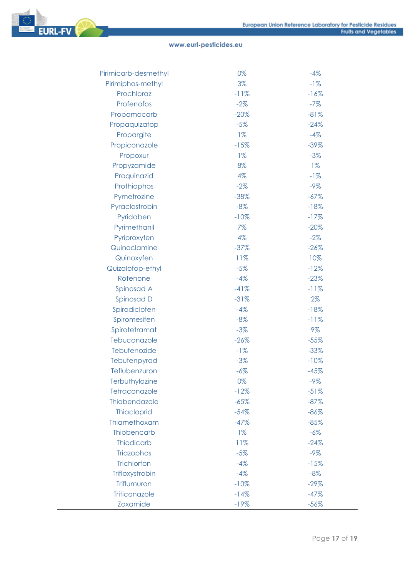

| Pirimiphos-methyl<br>3%<br>$-1%$       |  |
|----------------------------------------|--|
| Prochloraz<br>$-11%$<br>$-16%$         |  |
| Profenofos<br>$-2%$<br>$-7%$           |  |
| $-20%$<br>Propamocarb<br>$-81%$        |  |
| Propaquizafop<br>$-5%$<br>$-24%$       |  |
| $1\%$<br>$-4%$<br>Propargite           |  |
| $-15%$<br>$-39%$<br>Propiconazole      |  |
| $1\%$<br>$-3%$<br>Propoxur             |  |
| 8%<br>$1\%$<br>Propyzamide             |  |
| Proquinazid<br>4%<br>$-1%$             |  |
| $-2%$<br>$-9%$<br>Prothiophos          |  |
| Pymetrozine<br>$-38%$<br>$-67%$        |  |
| Pyraclostrobin<br>$-8%$<br>$-18%$      |  |
| Pyridaben<br>$-10%$<br>$-17%$          |  |
| Pyrimethanil<br>7%<br>$-20%$           |  |
| Pyriproxyfen<br>4%<br>$-2%$            |  |
| Quinoclamine<br>$-37%$<br>$-26%$       |  |
| Quinoxyfen<br>11%<br>10%               |  |
| $-5%$<br>Quizalofop-ethyl<br>$-12%$    |  |
| Rotenone<br>$-4%$<br>$-23%$            |  |
| $-41%$<br>Spinosad A<br>$-11%$         |  |
| Spinosad D<br>$-31%$<br>2%             |  |
| Spirodiclofen<br>$-4%$<br>$-18%$       |  |
| Spiromesifen<br>$-8%$<br>$-11%$        |  |
| Spirotetramat<br>$-3%$<br>9%           |  |
| Tebuconazole<br>$-26%$<br>$-55%$       |  |
| Tebufenozide<br>$-1%$<br>$-33%$        |  |
| Tebufenpyrad<br>$-3%$<br>$-10%$        |  |
| Teflubenzuron<br>$-6\%$<br>$-45%$      |  |
| Terbuthylazine<br>0%<br>$-9%$          |  |
| Tetraconazole<br>$-12%$<br>$-51%$      |  |
| Thiabendazole<br>$-65%$<br>$-87%$      |  |
| <b>Thiacloprid</b><br>$-54%$<br>$-86%$ |  |
| Thiamethoxam<br>$-47%$<br>$-85%$       |  |
| Thiobencarb<br>$1\%$<br>$-6%$          |  |
| <b>Thiodicarb</b><br>11%<br>$-24%$     |  |
| $-9%$<br>Triazophos<br>$-5%$           |  |
| Trichlorfon<br>$-4%$<br>$-15%$         |  |
| Trifloxystrobin<br>$-4%$<br>$-8%$      |  |
| Triflumuron<br>$-10%$<br>$-29%$        |  |
| Triticonazole<br>$-14%$<br>$-47%$      |  |
| <b>Zoxamide</b><br>$-56%$<br>$-19%$    |  |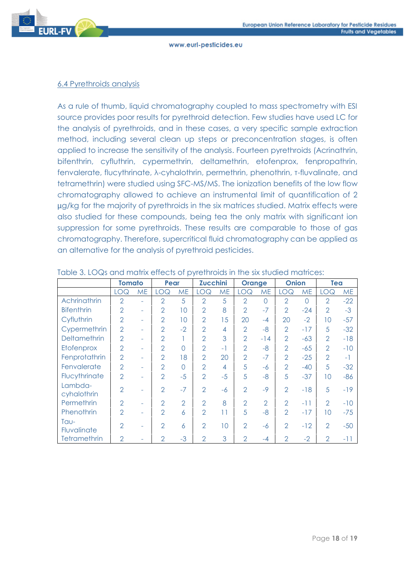

### 6.4 Pyrethroids analysis

As a rule of thumb, liquid chromatography coupled to mass spectrometry with ESI source provides poor results for pyrethroid detection. Few studies have used LC for the analysis of pyrethroids, and in these cases, a very specific sample extraction method, including several clean up steps or preconcentration stages, is often applied to increase the sensitivity of the analysis. Fourteen pyrethroids (Acrinathrin, bifenthrin, cyfluthrin, cypermethrin, deltamethrin, etofenprox, fenpropathrin, fenvalerate, flucythrinate, λ-cyhalothrin, permethrin, phenothrin, τ-fluvalinate, and tetramethrin) were studied using SFC-MS/MS. The ionization benefits of the low flow chromatography allowed to achieve an instrumental limit of quantification of 2 ug/kg for the majority of pyrethroids in the six matrices studied. Matrix effects were also studied for these compounds, being tea the only matrix with significant ion suppression for some pyrethroids. These results are comparable to those of gas chromatography. Therefore, supercritical fluid chromatography can be applied as an alternative for the analysis of pyrethroid pesticides.

|                        | <b>Tomato</b>  |           | Pear           |                | <b>Zucchini</b> |           | <b>Orange</b>  |                | <b>Onion</b>   |                | Tea            |           |
|------------------------|----------------|-----------|----------------|----------------|-----------------|-----------|----------------|----------------|----------------|----------------|----------------|-----------|
|                        | <b>LOQ</b>     | <b>ME</b> | <b>LOQ</b>     | <b>ME</b>      | <b>LOQ</b>      | <b>ME</b> | LOQ            | <b>ME</b>      | LOQ            | <b>ME</b>      | LOQ            | <b>ME</b> |
| Achrinathrin           | $\overline{2}$ | ٠         | $\overline{2}$ | 5              | $\overline{2}$  | 5         | $\overline{2}$ | $\overline{0}$ | $\overline{2}$ | $\overline{0}$ | $\overline{2}$ | $-22$     |
| <b>Bifenthrin</b>      | $\overline{2}$ | ٠         | $\overline{2}$ | 10             | $\overline{2}$  | 8         | $\overline{2}$ | $-7$           | $\overline{2}$ | $-24$          | $\overline{2}$ | $-3$      |
| Cyfluthrin             | $\overline{2}$ | ٠         | $\overline{2}$ | 10             | $\overline{2}$  | 15        | 20             | $-4$           | 20             | $-2$           | 10             | $-57$     |
| Cypermethrin           | $\overline{2}$ | ۰         | $\overline{2}$ | $-2$           | $\overline{2}$  | 4         | $\overline{2}$ | $-8$           | $\mathcal{P}$  | $-17$          | 5              | $-32$     |
| Deltamethrin           | $\overline{2}$ | ٠         | $\overline{2}$ |                | $\overline{2}$  | 3         | $\overline{2}$ | $-14$          | $\overline{2}$ | $-63$          | $\overline{2}$ | $-18$     |
| Etofenprox             | $\overline{2}$ | ٠         | $\overline{2}$ | ∩              | $\overline{2}$  | $-1$      | $\overline{2}$ | $-8$           | $\overline{2}$ | $-65$          | $\overline{2}$ | $-10$     |
| Fenprotathrin          | $\overline{2}$ | ۰         | $\overline{2}$ | 18             | $\overline{2}$  | 20        | $\overline{2}$ | $-7$           | $\mathcal{P}$  | $-25$          | $\mathcal{P}$  | $-1$      |
| Fenvalerate            | $\overline{2}$ | ٠         | $\overline{2}$ | $\bigcap$      | $\overline{2}$  | 4         | 5              | -6             | $\overline{2}$ | $-40$          | 5              | $-32$     |
| Flucythrinate          | $\overline{2}$ | ٠         | $\overline{2}$ | $-5$           | $\overline{2}$  | $-5$      | 5              | $-8$           | 5              | $-37$          | 10             | $-86$     |
| Lambda-<br>cyhalothrin | $\overline{2}$ | ٠         | $\overline{2}$ | $-7$           | $\overline{2}$  | $-6$      | $\overline{2}$ | $-9$           | $\overline{2}$ | $-18$          | 5              | $-19$     |
| Permethrin             | $\overline{2}$ | ٠         | $\overline{2}$ | $\overline{2}$ | $\overline{2}$  | 8         | $\overline{2}$ | $\overline{2}$ | $\overline{2}$ | -11            | $\overline{2}$ | $-10$     |
| Phenothrin             | $\mathcal{P}$  | ۰         | $\mathfrak{D}$ | 6              | $\overline{2}$  | 11        | 5              | $-8$           | $\mathcal{P}$  | $-17$          | 10             | $-75$     |
| $TQU-$<br>Fluvalinate  | $\mathcal{P}$  |           | $\mathfrak{D}$ | 6              | $\overline{2}$  | 10        | $\mathcal{P}$  | -6             | $\mathcal{P}$  | $-12$          | $\mathcal{P}$  | $-50$     |
| Tetramethrin           | $\overline{2}$ |           | $\overline{2}$ | $-3$           | $\overline{2}$  | 3         | $\overline{2}$ | $-4$           | $\mathcal{P}$  | $-2$           | $\overline{2}$ | -11       |